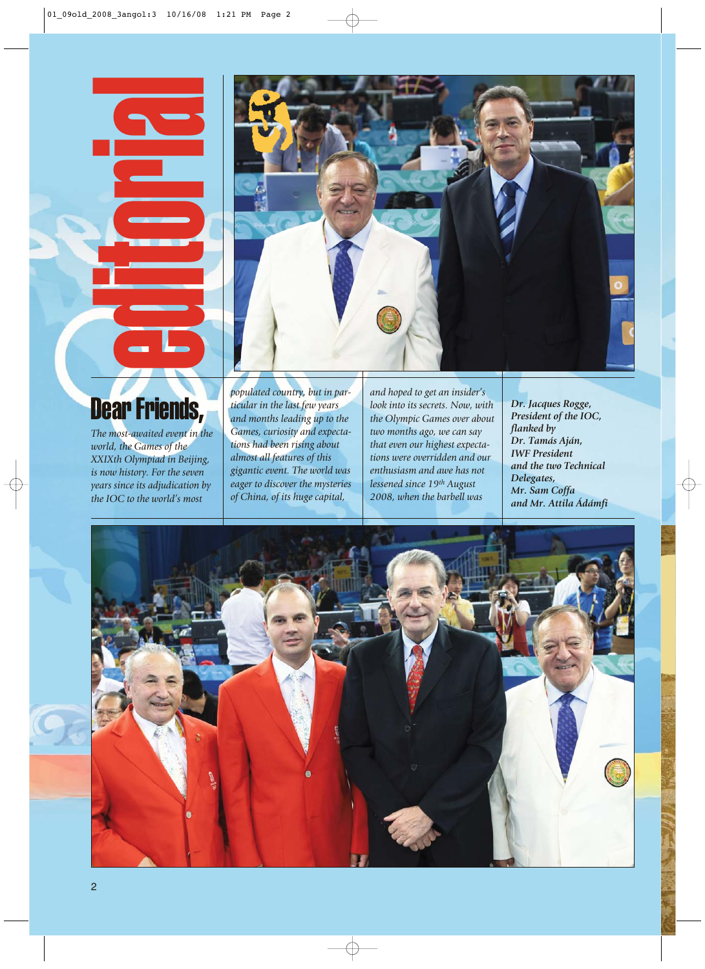

*The most-awaited event in the world, the Games of the XXIXth Olympiad in Beijing, is now history. For the seven years since its adjudication by the IOC to the world's most*

*populated country, but in particular in the last few years and months leading up to the Games, curiosity and expectations had been rising about almost all features of this gigantic event. The world was eager to discover the mysteries of China, of its huge capital,*

*and hoped to get an insider's look into its secrets. Now, with the Olympic Games over about two months ago, we can say that even our highest expectations were overridden and our enthusiasm and awe has not lessened since 19th August 2008, when the barbell was*

*Dr. Jacques Rogge, President of the IOC, flanked by Dr. Tamás Aján, IWF President and the two Technical Delegates, Mr. Sam Coffa and Mr. Attila Ádámfi*